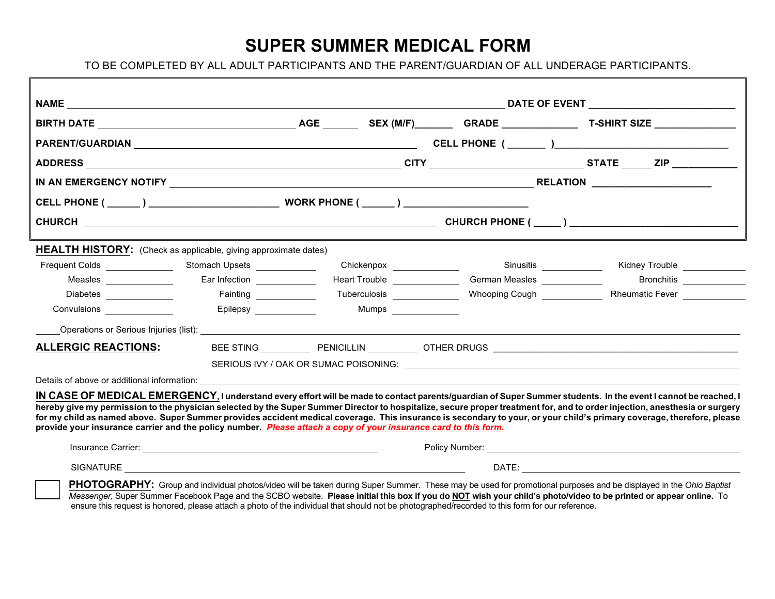## **SUPER SUMMER MEDICAL FORM**

TO BE COMPLETED BY ALL ADULT PARTICIPANTS AND THE PARENT/GUARDIAN OF ALL UNDERAGE PARTICIPANTS.

|                                                                                                                                                                                                                                                                                           |                          |                               |                               | RELATION _____________________ |                                             |  |  |
|-------------------------------------------------------------------------------------------------------------------------------------------------------------------------------------------------------------------------------------------------------------------------------------------|--------------------------|-------------------------------|-------------------------------|--------------------------------|---------------------------------------------|--|--|
|                                                                                                                                                                                                                                                                                           |                          |                               |                               |                                |                                             |  |  |
|                                                                                                                                                                                                                                                                                           |                          |                               |                               |                                |                                             |  |  |
| <b>HEALTH HISTORY:</b> (Check as applicable, giving approximate dates)                                                                                                                                                                                                                    |                          |                               |                               |                                |                                             |  |  |
| Frequent Colds Stomach Upsets                                                                                                                                                                                                                                                             |                          | Chickenpox __________________ |                               | Sinusitis _______________      | Kidney Trouble _____________                |  |  |
| Measles _______________                                                                                                                                                                                                                                                                   | Ear Infection<br><u></u> | Heart Trouble ______________  | German Measles _____________  |                                | Bronchitis                                  |  |  |
| Diabetes ________________                                                                                                                                                                                                                                                                 | Fainting ______________  | Tuberculosis _______________  | Whooping Cough ______________ |                                | Rheumatic Fever [ <i>Machellenger</i> 1999] |  |  |
| Convulsions _______________                                                                                                                                                                                                                                                               | Epilepsy _____________   | Mumps _______________         |                               |                                |                                             |  |  |
| Operations or Serious Injuries (list): Note that the serious state of the serious of the serious of the serious of the serious of the serious of the serious of the serious of the serious of the serious of the serious of th                                                            |                          |                               |                               |                                |                                             |  |  |
| <b>ALLERGIC REACTIONS:</b>                                                                                                                                                                                                                                                                |                          |                               |                               |                                |                                             |  |  |
|                                                                                                                                                                                                                                                                                           |                          |                               |                               |                                |                                             |  |  |
|                                                                                                                                                                                                                                                                                           |                          |                               |                               |                                |                                             |  |  |
| IN CASE OF MEDICAL EMERGENCY, I understand every effort will be made to contact parents/guardian of Super Summer students. In the event I cannot be reached, I                                                                                                                            |                          |                               |                               |                                |                                             |  |  |
| hereby give my permission to the physician selected by the Super Summer Director to hospitalize, secure proper treatment for, and to order injection, anesthesia or surgery                                                                                                               |                          |                               |                               |                                |                                             |  |  |
| for my child as named above. Super Summer provides accident medical coverage. This insurance is secondary to your, or your child's primary coverage, therefore, please<br>provide your insurance carrier and the policy number. Please attach a copy of your insurance card to this form. |                          |                               |                               |                                |                                             |  |  |
|                                                                                                                                                                                                                                                                                           |                          |                               |                               |                                |                                             |  |  |
|                                                                                                                                                                                                                                                                                           |                          |                               |                               |                                |                                             |  |  |
|                                                                                                                                                                                                                                                                                           |                          |                               |                               |                                |                                             |  |  |
|                                                                                                                                                                                                                                                                                           |                          |                               |                               |                                |                                             |  |  |